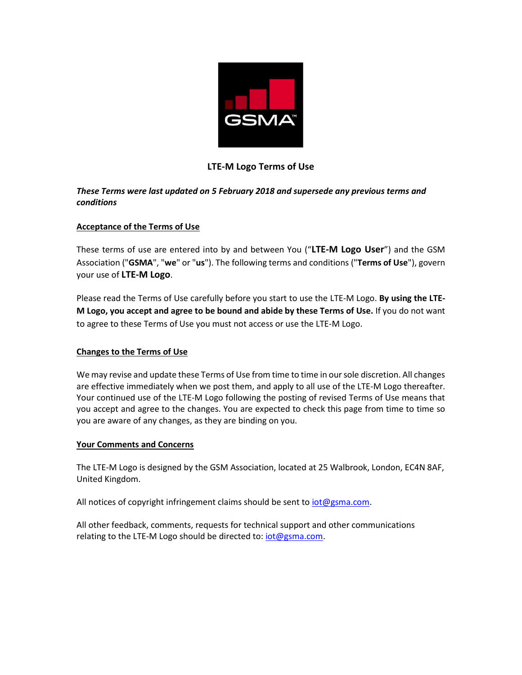

# **LTE-M Logo Terms of Use**

## *These Terms were last updated on 5 February 2018 and supersede any previous terms and conditions*

### **Acceptance of the Terms of Use**

These terms of use are entered into by and between You ("**LTE-M Logo User**") and the GSM Association ("**GSMA**", "**we**" or "**us**"). The following terms and conditions ("**Terms of Use**"), govern your use of **LTE-M Logo**.

Please read the Terms of Use carefully before you start to use the LTE-M Logo. **By using the LTE-M Logo, you accept and agree to be bound and abide by these Terms of Use.** If you do not want to agree to these Terms of Use you must not access or use the LTE-M Logo.

## **Changes to the Terms of Use**

We may revise and update these Terms of Use from time to time in our sole discretion. All changes are effective immediately when we post them, and apply to all use of the LTE-M Logo thereafter. Your continued use of the LTE-M Logo following the posting of revised Terms of Use means that you accept and agree to the changes. You are expected to check this page from time to time so you are aware of any changes, as they are binding on you.

#### **Your Comments and Concerns**

The LTE-M Logo is designed by the GSM Association, located at 25 Walbrook, London, EC4N 8AF, United Kingdom.

All notices of copyright infringement claims should be sent to  $iot@gsma.com$ .

All other feedback, comments, requests for technical support and other communications relating to the LTE-M Logo should be directed to: [iot@gsma.com.](mailto:iot@gsma.com)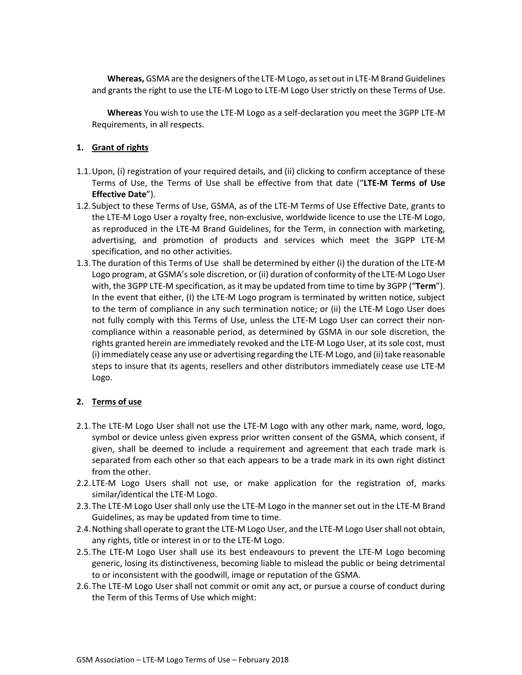**Whereas,** GSMA are the designers of the LTE-M Logo, as set out in LTE-M Brand Guidelines and grants the right to use the LTE-M Logo to LTE-M Logo User strictly on these Terms of Use.

**Whereas** You wish to use the LTE-M Logo as a self-declaration you meet the 3GPP LTE-M Requirements, in all respects.

### **1. Grant of rights**

- 1.1.Upon, (i) registration of your required details, and (ii) clicking to confirm acceptance of these Terms of Use, the Terms of Use shall be effective from that date ("**LTE-M Terms of Use Effective Date**").
- 1.2.Subject to these Terms of Use, GSMA, as of the LTE-M Terms of Use Effective Date, grants to the LTE-M Logo User a royalty free, non-exclusive, worldwide licence to use the LTE-M Logo, as reproduced in the LTE-M Brand Guidelines, for the Term, in connection with marketing, advertising, and promotion of products and services which meet the 3GPP LTE-M specification, and no other activities.
- 1.3.The duration of this Terms of Use shall be determined by either (i) the duration of the LTE-M Logo program, at GSMA's sole discretion, or (ii) duration of conformity of the LTE-M Logo User with, the 3GPP LTE-M specification, as it may be updated from time to time by 3GPP ("**Term**"). In the event that either, (I) the LTE-M Logo program is terminated by written notice, subject to the term of compliance in any such termination notice; or (ii) the LTE-M Logo User does not fully comply with this Terms of Use, unless the LTE-M Logo User can correct their noncompliance within a reasonable period, as determined by GSMA in our sole discretion, the rights granted herein are immediately revoked and the LTE-M Logo User, at its sole cost, must (i) immediately cease any use or advertising regarding the LTE-M Logo, and (ii) take reasonable steps to insure that its agents, resellers and other distributors immediately cease use LTE-M Logo.

#### **2. Terms of use**

- 2.1.The LTE-M Logo User shall not use the LTE-M Logo with any other mark, name, word, logo, symbol or device unless given express prior written consent of the GSMA, which consent, if given, shall be deemed to include a requirement and agreement that each trade mark is separated from each other so that each appears to be a trade mark in its own right distinct from the other.
- 2.2. LTE-M Logo Users shall not use, or make application for the registration of, marks similar/identical the LTE-M Logo.
- 2.3.The LTE-M Logo User shall only use the LTE-M Logo in the manner set out in the LTE-M Brand Guidelines, as may be updated from time to time.
- 2.4.Nothing shall operate to grant the LTE-M Logo User, and the LTE-M Logo Usershall not obtain, any rights, title or interest in or to the LTE-M Logo.
- 2.5.The LTE-M Logo User shall use its best endeavours to prevent the LTE-M Logo becoming generic, losing its distinctiveness, becoming liable to mislead the public or being detrimental to or inconsistent with the goodwill, image or reputation of the GSMA.
- 2.6.The LTE-M Logo User shall not commit or omit any act, or pursue a course of conduct during the Term of this Terms of Use which might: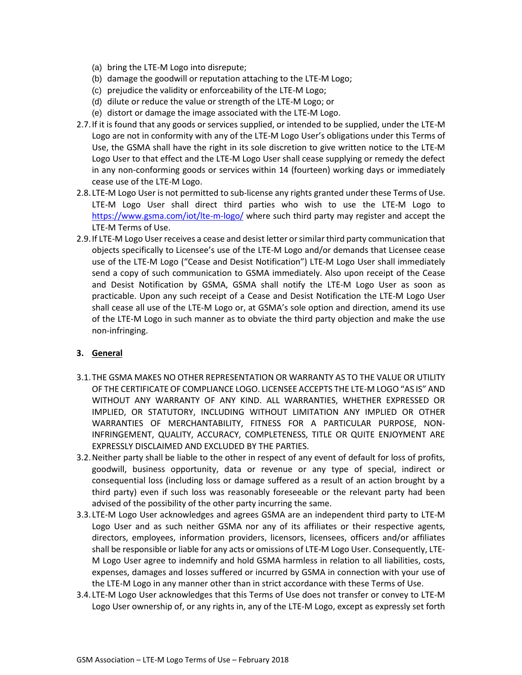- (a) bring the LTE-M Logo into disrepute;
- (b) damage the goodwill or reputation attaching to the LTE-M Logo;
- (c) prejudice the validity or enforceability of the LTE-M Logo;
- (d) dilute or reduce the value or strength of the LTE-M Logo; or
- (e) distort or damage the image associated with the LTE-M Logo.
- 2.7.If it is found that any goods or services supplied, or intended to be supplied, under the LTE-M Logo are not in conformity with any of the LTE-M Logo User's obligations under this Terms of Use, the GSMA shall have the right in its sole discretion to give written notice to the LTE-M Logo User to that effect and the LTE-M Logo User shall cease supplying or remedy the defect in any non-conforming goods or services within 14 (fourteen) working days or immediately cease use of the LTE-M Logo.
- 2.8. LTE-M Logo User is not permitted to sub-license any rights granted under these Terms of Use. LTE-M Logo User shall direct third parties who wish to use the LTE-M Logo to <https://www.gsma.com/iot/lte-m-logo/> where such third party may register and accept the LTE-M Terms of Use.
- 2.9.If LTE-M Logo User receives a cease and desist letter or similar third party communication that objects specifically to Licensee's use of the LTE-M Logo and/or demands that Licensee cease use of the LTE-M Logo ("Cease and Desist Notification") LTE-M Logo User shall immediately send a copy of such communication to GSMA immediately. Also upon receipt of the Cease and Desist Notification by GSMA, GSMA shall notify the LTE-M Logo User as soon as practicable. Upon any such receipt of a Cease and Desist Notification the LTE-M Logo User shall cease all use of the LTE-M Logo or, at GSMA's sole option and direction, amend its use of the LTE-M Logo in such manner as to obviate the third party objection and make the use non-infringing.

## **3. General**

- 3.1.THE GSMA MAKES NO OTHER REPRESENTATION OR WARRANTY AS TO THE VALUE OR UTILITY OF THE CERTIFICATE OF COMPLIANCE LOGO. LICENSEE ACCEPTS THE LTE-M LOGO "AS IS" AND WITHOUT ANY WARRANTY OF ANY KIND. ALL WARRANTIES, WHETHER EXPRESSED OR IMPLIED, OR STATUTORY, INCLUDING WITHOUT LIMITATION ANY IMPLIED OR OTHER WARRANTIES OF MERCHANTABILITY, FITNESS FOR A PARTICULAR PURPOSE, NON-INFRINGEMENT, QUALITY, ACCURACY, COMPLETENESS, TITLE OR QUITE ENJOYMENT ARE EXPRESSLY DISCLAIMED AND EXCLUDED BY THE PARTIES.
- 3.2.Neither party shall be liable to the other in respect of any event of default for loss of profits, goodwill, business opportunity, data or revenue or any type of special, indirect or consequential loss (including loss or damage suffered as a result of an action brought by a third party) even if such loss was reasonably foreseeable or the relevant party had been advised of the possibility of the other party incurring the same.
- 3.3. LTE-M Logo User acknowledges and agrees GSMA are an independent third party to LTE-M Logo User and as such neither GSMA nor any of its affiliates or their respective agents, directors, employees, information providers, licensors, licensees, officers and/or affiliates shall be responsible or liable for any acts or omissions of LTE-M Logo User. Consequently, LTE-M Logo User agree to indemnify and hold GSMA harmless in relation to all liabilities, costs, expenses, damages and losses suffered or incurred by GSMA in connection with your use of the LTE-M Logo in any manner other than in strict accordance with these Terms of Use.
- 3.4. LTE-M Logo User acknowledges that this Terms of Use does not transfer or convey to LTE-M Logo User ownership of, or any rights in, any of the LTE-M Logo, except as expressly set forth